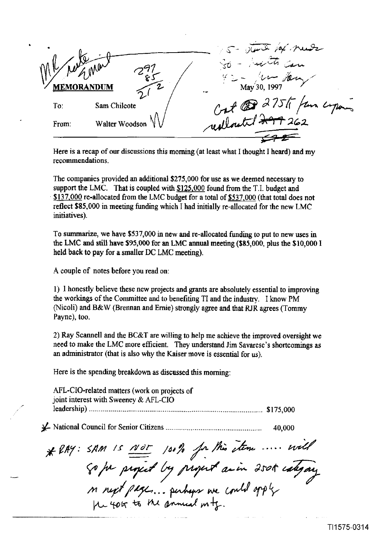. s- JG= *.y' PdL*  **^L,**  - **ebM,,**  .- To. Sam Chllcote We we can children and my memorantes. reallouted 200

Here is a recap of our discussions this morning (at least what I thought I heard) and my recommendations.

The companies provided **an** additional \$275,000 for use as we deemed necessary to support the LMC. That is coupled **with** \$125,000 found from the T.I. budget and \$137,000 re-allocated from the LMC budget for a total of \$537,000 (that total does not reflect \$85,000 in meeting funding which I had initially re-allocated for the new LMC initiatives).

To summarize, we have \$537,000 in new and re-allocated fundmg to put to new uses in the **LMC** and still have **\$95,000** for an LMC **annual** meeting (\$85,000, plus the \$10,000 **1**  held back to pay for a smaller DC **LMC** meeting).

A couple of notes before you read on:

1) I honestly believe these new projects and grants are absolutely essential to improving the workings of the Committee and to benefiting TI and the industry. I know PM (Nicoli) and B&W (Brennan and **Ernie)** strongly agree and that RJR agrees (Tommy Payne), too.

2) Ray Scannell and the BC&T are willing to help me achieve the improved oversight **we**  need to make the LMC more efficient. They understand Jim Savarese's shortcomings as **an** administrator (that is also why the Kaiser move is essential for **us).** 

Here is the spending breakdown as discussed this morning:

AFL-CIO-related matters (work on projects of joint interest with Sweeney & AFLCIO , leadership) ...................................................................................... **S** 175,000

\$- National Council for Senior Citizens ................................................ 40,000

\* RAY: SAM IS NOT 100% for this stem .... will